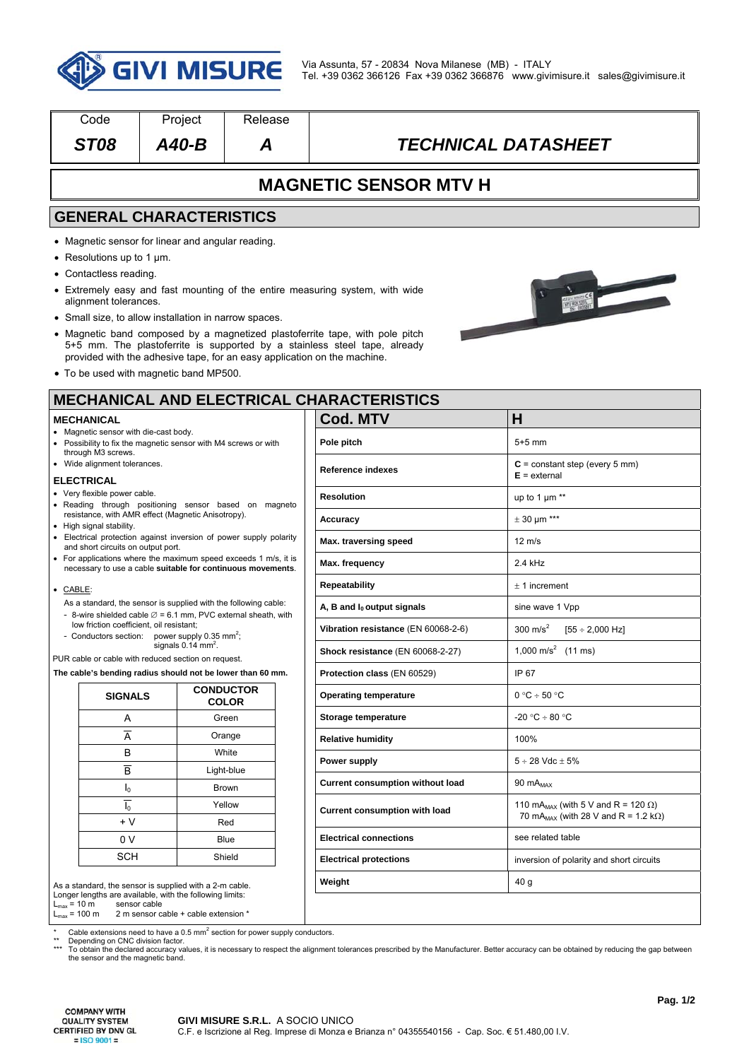

| Code                                                                                                                                                                                                                                      | Project                                                 | Release                                                                  |                                                                                                                                                                                                                                           |                                                      |  |  |
|-------------------------------------------------------------------------------------------------------------------------------------------------------------------------------------------------------------------------------------------|---------------------------------------------------------|--------------------------------------------------------------------------|-------------------------------------------------------------------------------------------------------------------------------------------------------------------------------------------------------------------------------------------|------------------------------------------------------|--|--|
| <b>ST08</b>                                                                                                                                                                                                                               | $A40-B$                                                 | Α                                                                        | <b>TECHNICAL DATASHEET</b>                                                                                                                                                                                                                |                                                      |  |  |
|                                                                                                                                                                                                                                           |                                                         |                                                                          | <b>MAGNETIC SENSOR MTV H</b>                                                                                                                                                                                                              |                                                      |  |  |
| <b>GENERAL CHARACTERISTICS</b>                                                                                                                                                                                                            |                                                         |                                                                          |                                                                                                                                                                                                                                           |                                                      |  |  |
| • Magnetic sensor for linear and angular reading.<br>• Resolutions up to 1 $\mu$ m.<br>• Contactless reading.<br>alignment tolerances.<br>• Small size, to allow installation in narrow spaces.<br>• To be used with magnetic band MP500. |                                                         | provided with the adhesive tape, for an easy application on the machine. | • Extremely easy and fast mounting of the entire measuring system, with wide<br>• Magnetic band composed by a magnetized plastoferrite tape, with pole pitch<br>5+5 mm. The plastoferrite is supported by a stainless steel tape, already |                                                      |  |  |
|                                                                                                                                                                                                                                           |                                                         |                                                                          | <b>MECHANICAL AND ELECTRICAL CHARACTERISTICS</b>                                                                                                                                                                                          |                                                      |  |  |
| <b>MECHANICAL</b>                                                                                                                                                                                                                         |                                                         |                                                                          | <b>Cod. MTV</b>                                                                                                                                                                                                                           | н                                                    |  |  |
| • Magnetic sensor with die-cast body.<br>• Possibility to fix the magnetic sensor with M4 screws or with                                                                                                                                  |                                                         |                                                                          | Pole pitch                                                                                                                                                                                                                                | $5+5$ mm                                             |  |  |
| through M3 screws.<br>• Wide alignment tolerances.                                                                                                                                                                                        |                                                         |                                                                          | Reference indexes                                                                                                                                                                                                                         | $C = constant step (every 5 mm)$<br>$E =$ external   |  |  |
| <b>ELECTRICAL</b><br>• Very flexible power cable.                                                                                                                                                                                         |                                                         |                                                                          | <b>Resolution</b>                                                                                                                                                                                                                         | up to 1 $\mu$ m **                                   |  |  |
| • Reading through positioning sensor based on magneto<br>resistance, with AMR effect (Magnetic Anisotropy).                                                                                                                               |                                                         |                                                                          | Accuracy                                                                                                                                                                                                                                  | $\pm$ 30 µm ***                                      |  |  |
| • High signal stability.<br>• Electrical protection against inversion of power supply polarity                                                                                                                                            |                                                         |                                                                          | Max. traversing speed                                                                                                                                                                                                                     | $12 \text{ m/s}$                                     |  |  |
| and short circuits on output port.<br>• For applications where the maximum speed exceeds 1 m/s, it is<br>necessary to use a cable suitable for continuous movements.                                                                      |                                                         |                                                                          | Max. frequency                                                                                                                                                                                                                            | 2.4 kHz                                              |  |  |
| • CABLE:                                                                                                                                                                                                                                  |                                                         |                                                                          | Repeatability                                                                                                                                                                                                                             | $± 1$ increment                                      |  |  |
| As a standard, the sensor is supplied with the following cable:                                                                                                                                                                           |                                                         |                                                                          | A, B and $I_0$ output signals                                                                                                                                                                                                             | sine wave 1 Vpp                                      |  |  |
| - 8-wire shielded cable $\varnothing$ = 6.1 mm, PVC external sheath, with<br>low friction coefficient, oil resistant;                                                                                                                     |                                                         |                                                                          | Vibration resistance (EN 60068-2-6)                                                                                                                                                                                                       | 300 m/s <sup>2</sup><br>$[55 \div 2,000 \text{ Hz}]$ |  |  |
| - Conductors section: power supply 0.35 mm <sup>2</sup> ;<br>signals $0.14$ mm <sup>2</sup> .                                                                                                                                             |                                                         |                                                                          | Shock resistance (EN 60068-2-27)                                                                                                                                                                                                          | 1,000 m/s <sup>2</sup> (11 ms)                       |  |  |
| PUR cable or cable with reduced section on request.<br>The cable's bending radius should not be lower than 60 mm.                                                                                                                         |                                                         |                                                                          | Protection class (EN 60529)                                                                                                                                                                                                               | IP 67                                                |  |  |
| <b>SIGNALS</b>                                                                                                                                                                                                                            |                                                         | <b>CONDUCTOR</b>                                                         | <b>Operating temperature</b>                                                                                                                                                                                                              | $0 °C \div 50 °C$                                    |  |  |
| Α                                                                                                                                                                                                                                         |                                                         | <b>COLOR</b><br>Green                                                    | Storage temperature                                                                                                                                                                                                                       | $-20 °C \div 80 °C$                                  |  |  |
| A                                                                                                                                                                                                                                         |                                                         | Orange                                                                   | <b>Relative humidity</b>                                                                                                                                                                                                                  | 100%                                                 |  |  |
| B                                                                                                                                                                                                                                         | White<br>$\overline{B}$<br>Light-blue<br>$I_0$<br>Brown |                                                                          |                                                                                                                                                                                                                                           | $5 \div 28$ Vdc $\pm 5\%$                            |  |  |
|                                                                                                                                                                                                                                           |                                                         |                                                                          | Power supply                                                                                                                                                                                                                              |                                                      |  |  |
|                                                                                                                                                                                                                                           |                                                         |                                                                          | <b>Current consumption without load</b>                                                                                                                                                                                                   | 90 $mA_{MAX}$                                        |  |  |
| $I_0$<br>Yellow                                                                                                                                                                                                                           |                                                         | <b>Current consumption with load</b>                                     | 110 mA <sub>MAX</sub> (with 5 V and R = 120 $\Omega$ )<br>70 mA <sub>MAX</sub> (with 28 V and R = 1.2 k $\Omega$ )                                                                                                                        |                                                      |  |  |
| $+V$<br>Red                                                                                                                                                                                                                               |                                                         | <b>Electrical connections</b>                                            | see related table                                                                                                                                                                                                                         |                                                      |  |  |
| 0 V<br>Blue<br>Shield                                                                                                                                                                                                                     |                                                         |                                                                          |                                                                                                                                                                                                                                           |                                                      |  |  |
| SCH                                                                                                                                                                                                                                       |                                                         |                                                                          | <b>Electrical protections</b>                                                                                                                                                                                                             | inversion of polarity and short circuits             |  |  |

 $L_{\text{max}} = 10 \text{ m}$ <br> $L_{\text{max}} = 100 \text{ m}$  $2 m$  sensor cable + cable extension  $*$ 

\* Cable extensions need to have a 0.5 mm<sup>2</sup> section for power supply conductors.

\*\* Depending on CNC division factor.<br>\*\*\* To obtain the declared accuracy values, it is necessary to respect the alignment tolerances prescribed by the Manufacturer. Better accuracy can be obtained by reducing the gap betw